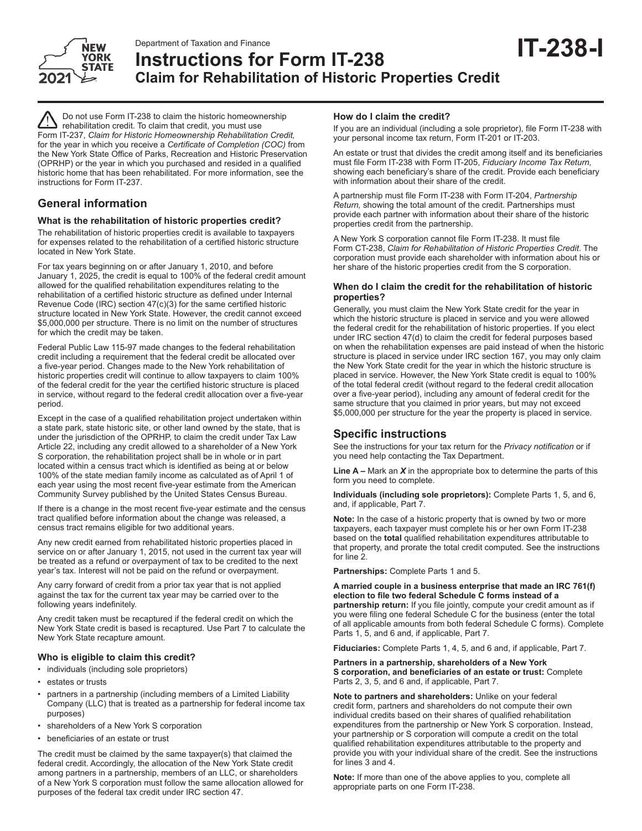

# Department of Taxation and Finance<br>Instructions for Form IT-238 **IT-238-I Claim for Rehabilitation of Historic Properties Credit**

Do not use Form IT-238 to claim the historic homeownership rehabilitation credit. To claim that credit, you must use Form IT-237, *Claim for Historic Homeownership Rehabilitation Credit,* for the year in which you receive a *Certificate of Completion (COC)* from the New York State Office of Parks, Recreation and Historic Preservation (OPRHP) or the year in which you purchased and resided in a qualified historic home that has been rehabilitated. For more information, see the instructions for Form IT-237.

# **General information**

# **What is the rehabilitation of historic properties credit?**

The rehabilitation of historic properties credit is available to taxpayers for expenses related to the rehabilitation of a certified historic structure located in New York State.

For tax years beginning on or after January 1, 2010, and before January 1, 2025, the credit is equal to 100% of the federal credit amount allowed for the qualified rehabilitation expenditures relating to the rehabilitation of a certified historic structure as defined under Internal Revenue Code (IRC) section 47(c)(3) for the same certified historic structure located in New York State. However, the credit cannot exceed \$5,000,000 per structure. There is no limit on the number of structures for which the credit may be taken.

Federal Public Law 115-97 made changes to the federal rehabilitation credit including a requirement that the federal credit be allocated over a five-year period. Changes made to the New York rehabilitation of historic properties credit will continue to allow taxpayers to claim 100% of the federal credit for the year the certified historic structure is placed in service, without regard to the federal credit allocation over a five-year period.

Except in the case of a qualified rehabilitation project undertaken within a state park, state historic site, or other land owned by the state, that is under the jurisdiction of the OPRHP, to claim the credit under Tax Law Article 22, including any credit allowed to a shareholder of a New York S corporation, the rehabilitation project shall be in whole or in part located within a census tract which is identified as being at or below 100% of the state median family income as calculated as of April 1 of each year using the most recent five-year estimate from the American Community Survey published by the United States Census Bureau.

If there is a change in the most recent five-year estimate and the census tract qualified before information about the change was released, a census tract remains eligible for two additional years.

Any new credit earned from rehabilitated historic properties placed in service on or after January 1, 2015, not used in the current tax year will be treated as a refund or overpayment of tax to be credited to the next year's tax. Interest will not be paid on the refund or overpayment.

Any carry forward of credit from a prior tax year that is not applied against the tax for the current tax year may be carried over to the following years indefinitely.

Any credit taken must be recaptured if the federal credit on which the New York State credit is based is recaptured. Use Part 7 to calculate the New York State recapture amount.

# **Who is eligible to claim this credit?**

- individuals (including sole proprietors)
- estates or trusts
- partners in a partnership (including members of a Limited Liability Company (LLC) that is treated as a partnership for federal income tax purposes)
- shareholders of a New York S corporation
- beneficiaries of an estate or trust

The credit must be claimed by the same taxpayer(s) that claimed the federal credit. Accordingly, the allocation of the New York State credit among partners in a partnership, members of an LLC, or shareholders of a New York S corporation must follow the same allocation allowed for purposes of the federal tax credit under IRC section 47.

#### **How do I claim the credit?**

If you are an individual (including a sole proprietor), file Form IT-238 with your personal income tax return, Form IT-201 or IT-203.

An estate or trust that divides the credit among itself and its beneficiaries must file Form IT-238 with Form IT-205, *Fiduciary Income Tax Return,* showing each beneficiary's share of the credit. Provide each beneficiary with information about their share of the credit.

A partnership must file Form IT-238 with Form IT-204, *Partnership Return,* showing the total amount of the credit. Partnerships must provide each partner with information about their share of the historic properties credit from the partnership.

A New York S corporation cannot file Form IT-238. It must file Form CT-238, *Claim for Rehabilitation of Historic Properties Credit*. The corporation must provide each shareholder with information about his or her share of the historic properties credit from the S corporation.

# **When do I claim the credit for the rehabilitation of historic properties?**

Generally, you must claim the New York State credit for the year in which the historic structure is placed in service and you were allowed the federal credit for the rehabilitation of historic properties. If you elect under IRC section 47(d) to claim the credit for federal purposes based on when the rehabilitation expenses are paid instead of when the historic structure is placed in service under IRC section 167, you may only claim the New York State credit for the year in which the historic structure is placed in service. However, the New York State credit is equal to 100% of the total federal credit (without regard to the federal credit allocation over a five-year period), including any amount of federal credit for the same structure that you claimed in prior years, but may not exceed \$5,000,000 per structure for the year the property is placed in service.

# **Specific instructions**

See the instructions for your tax return for the *Privacy notification* or if you need help contacting the Tax Department.

**Line A –** Mark an *X* in the appropriate box to determine the parts of this form you need to complete.

**Individuals (including sole proprietors):** Complete Parts 1, 5, and 6, and, if applicable, Part 7.

**Note:** In the case of a historic property that is owned by two or more taxpayers, each taxpayer must complete his or her own Form IT-238 based on the **total** qualified rehabilitation expenditures attributable to that property, and prorate the total credit computed. See the instructions for line 2.

**Partnerships:** Complete Parts 1 and 5.

**A married couple in a business enterprise that made an IRC 761(f) election to file two federal Schedule C forms instead of a partnership return:** If you file jointly, compute your credit amount as if you were filing one federal Schedule C for the business (enter the total of all applicable amounts from both federal Schedule C forms). Complete Parts 1, 5, and 6 and, if applicable, Part 7.

**Fiduciaries:** Complete Parts 1, 4, 5, and 6 and, if applicable, Part 7.

#### **Partners in a partnership, shareholders of a New York S corporation, and beneficiaries of an estate or trust:** Complete Parts 2, 3, 5, and 6 and, if applicable, Part 7.

**Note to partners and shareholders:** Unlike on your federal credit form, partners and shareholders do not compute their own individual credits based on their shares of qualified rehabilitation expenditures from the partnership or New York S corporation. Instead, your partnership or S corporation will compute a credit on the total qualified rehabilitation expenditures attributable to the property and provide you with your individual share of the credit. See the instructions for lines 3 and 4.

**Note:** If more than one of the above applies to you, complete all appropriate parts on one Form IT-238.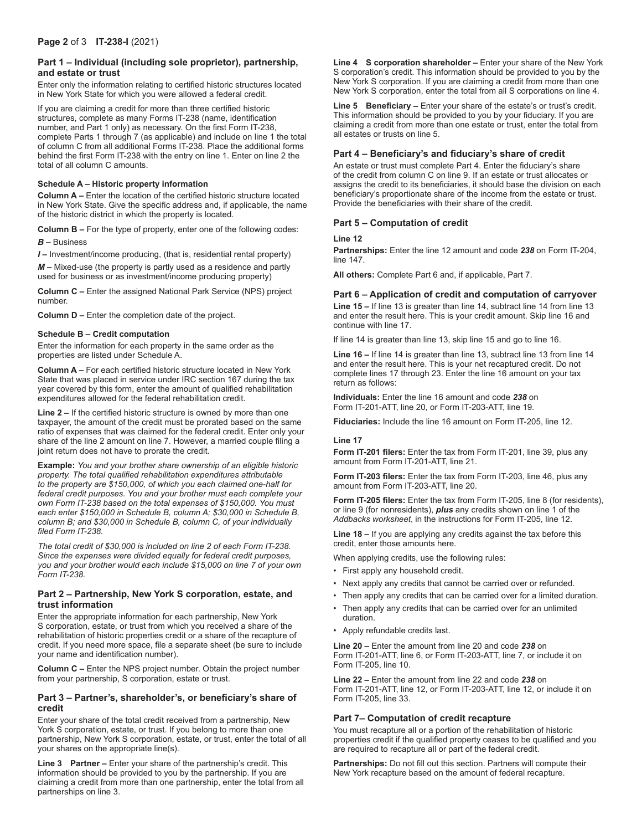# **Part 1 – Individual (including sole proprietor), partnership, and estate or trust**

Enter only the information relating to certified historic structures located in New York State for which you were allowed a federal credit.

If you are claiming a credit for more than three certified historic structures, complete as many Forms IT-238 (name, identification number, and Part 1 only) as necessary. On the first Form IT-238, complete Parts 1 through 7 (as applicable) and include on line 1 the total of column C from all additional Forms IT-238. Place the additional forms behind the first Form IT-238 with the entry on line 1. Enter on line 2 the total of all column C amounts.

#### **Schedule A – Historic property information**

**Column A –** Enter the location of the certified historic structure located in New York State. Give the specific address and, if applicable, the name of the historic district in which the property is located.

**Column B –** For the type of property, enter one of the following codes:

*B* **–** Business

*I* **–** Investment/income producing, (that is, residential rental property)

*M* **–** Mixed-use (the property is partly used as a residence and partly used for business or as investment/income producing property)

**Column C –** Enter the assigned National Park Service (NPS) project number.

**Column D –** Enter the completion date of the project.

#### **Schedule B – Credit computation**

Enter the information for each property in the same order as the properties are listed under Schedule A.

**Column A –** For each certified historic structure located in New York State that was placed in service under IRC section 167 during the tax year covered by this form, enter the amount of qualified rehabilitation expenditures allowed for the federal rehabilitation credit.

**Line 2 –** If the certified historic structure is owned by more than one taxpayer, the amount of the credit must be prorated based on the same ratio of expenses that was claimed for the federal credit. Enter only your share of the line 2 amount on line 7. However, a married couple filing a joint return does not have to prorate the credit.

**Example:** *You and your brother share ownership of an eligible historic property. The total qualified rehabilitation expenditures attributable to the property are \$150,000, of which you each claimed one-half for federal credit purposes. You and your brother must each complete your own Form IT-238 based on the total expenses of \$150,000. You must each enter \$150,000 in Schedule B, column A; \$30,000 in Schedule B, column B; and \$30,000 in Schedule B, column C, of your individually filed Form IT-238.*

*The total credit of \$30,000 is included on line 2 of each Form IT-238. Since the expenses were divided equally for federal credit purposes, you and your brother would each include \$15,000 on line 7 of your own Form IT-238.*

#### **Part 2 – Partnership, New York S corporation, estate, and trust information**

Enter the appropriate information for each partnership, New York S corporation, estate, or trust from which you received a share of the rehabilitation of historic properties credit or a share of the recapture of credit. If you need more space, file a separate sheet (be sure to include your name and identification number).

**Column C –** Enter the NPS project number. Obtain the project number from your partnership, S corporation, estate or trust.

#### **Part 3 – Partner's, shareholder's, or beneficiary's share of credit**

Enter your share of the total credit received from a partnership, New York S corporation, estate, or trust. If you belong to more than one partnership, New York S corporation, estate, or trust, enter the total of all your shares on the appropriate line(s).

**Line 3 Partner –** Enter your share of the partnership's credit. This information should be provided to you by the partnership. If you are claiming a credit from more than one partnership, enter the total from all partnerships on line 3.

**Line 4 S corporation shareholder –** Enter your share of the New York S corporation's credit. This information should be provided to you by the New York S corporation. If you are claiming a credit from more than one New York S corporation, enter the total from all S corporations on line 4.

**Line 5 Beneficiary –** Enter your share of the estate's or trust's credit. This information should be provided to you by your fiduciary. If you are claiming a credit from more than one estate or trust, enter the total from all estates or trusts on line 5.

# **Part 4 – Beneficiary's and fiduciary's share of credit**

An estate or trust must complete Part 4. Enter the fiduciary's share of the credit from column C on line 9. If an estate or trust allocates or assigns the credit to its beneficiaries, it should base the division on each beneficiary's proportionate share of the income from the estate or trust. Provide the beneficiaries with their share of the credit.

# **Part 5 – Computation of credit**

# **Line 12**

**Partnerships:** Enter the line 12 amount and code *238* on Form IT-204, line 147.

**All others:** Complete Part 6 and, if applicable, Part 7.

# **Part 6 – Application of credit and computation of carryover**

**Line 15 –** If line 13 is greater than line 14, subtract line 14 from line 13 and enter the result here. This is your credit amount. Skip line 16 and continue with line 17.

If line 14 is greater than line 13, skip line 15 and go to line 16.

**Line 16 –** If line 14 is greater than line 13, subtract line 13 from line 14 and enter the result here. This is your net recaptured credit. Do not complete lines 17 through 23. Enter the line 16 amount on your tax return as follows:

**Individuals:** Enter the line 16 amount and code *238* on Form IT-201-ATT, line 20, or Form IT-203-ATT, line 19.

**Fiduciaries:** Include the line 16 amount on Form IT-205, line 12.

#### **Line 17**

**Form IT-201 filers:** Enter the tax from Form IT-201, line 39, plus any amount from Form IT-201-ATT, line 21.

**Form IT-203 filers:** Enter the tax from Form IT-203, line 46, plus any amount from Form IT-203-ATT, line 20.

**Form IT-205 filers:** Enter the tax from Form IT-205, line 8 (for residents), or line 9 (for nonresidents), *plus* any credits shown on line 1 of the *Addbacks worksheet*, in the instructions for Form IT-205, line 12.

**Line 18 –** If you are applying any credits against the tax before this credit, enter those amounts here.

When applying credits, use the following rules:

- First apply any household credit.
- Next apply any credits that cannot be carried over or refunded.
- Then apply any credits that can be carried over for a limited duration.
- Then apply any credits that can be carried over for an unlimited duration.
- Apply refundable credits last.

**Line 20 –** Enter the amount from line 20 and code *238* on Form IT-201-ATT, line 6, or Form IT-203-ATT, line 7, or include it on Form IT-205, line 10.

**Line 22 –** Enter the amount from line 22 and code *238* on Form IT-201-ATT, line 12, or Form IT-203-ATT, line 12, or include it on Form IT-205, line 33.

# **Part 7– Computation of credit recapture**

You must recapture all or a portion of the rehabilitation of historic properties credit if the qualified property ceases to be qualified and you are required to recapture all or part of the federal credit.

**Partnerships:** Do not fill out this section. Partners will compute their New York recapture based on the amount of federal recapture.